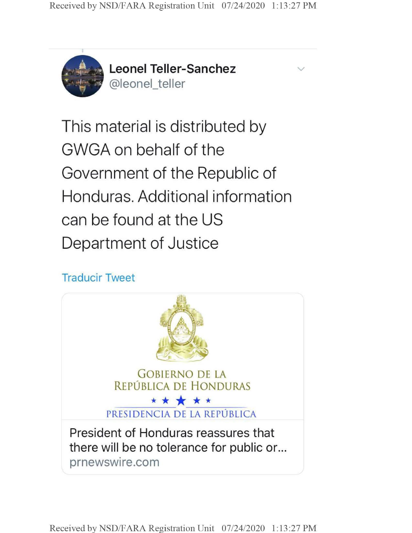

**Leonel Teller-Sanchez** @leonel\_teller

v

This material is distributed by GWGA on behalf of the Government of the Republic of Honduras. Additional information can be found at the US Department of Justice

## Traducir Tweet

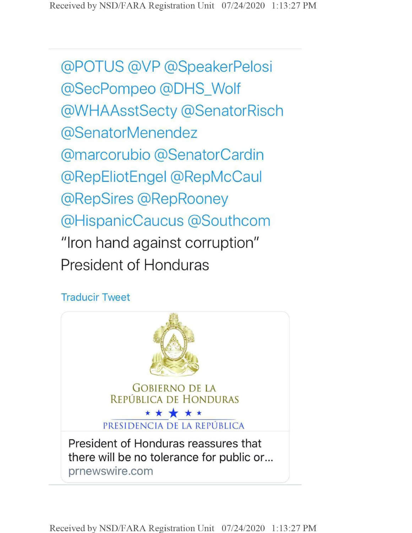@POTUS @VP @SpeakerPelosi @SecPompeo @DHS\_Wolf @WHAAsstSecty @SenatorRisch @SenatorMenendez @marcorubio @SenatorCardin @RepEliotEngel @RepMcCaul @RepSires @RepRooney @HispanicCaucus @Southcom "Iron hand against corruption" President of Honduras

## Traducir Tweet



**Received by NSD/FARA Registration Unit 07/24/2020 1:13:27 PM**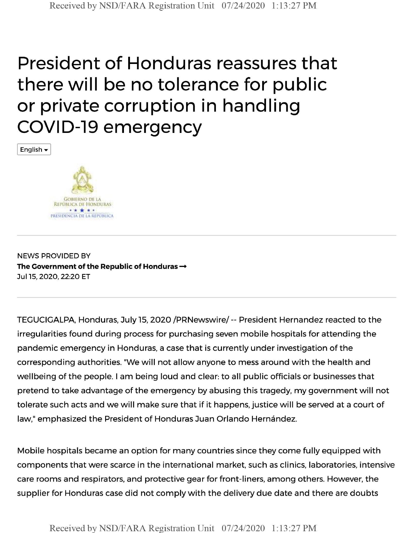# President of Honduras reassures that there will be no tolerance for public or private corruption in handling COVID-19 emergency

English



NEWS PROVIDED BY **The Government of the Republic of Honduras-\*** Jul 15, 2020, 22:20 ET

TEGUCIGALPA, Honduras, July 15, 2020 /PRNewswire/ -- President Hernandez reacted to the irregularities found during process for purchasing seven mobile hospitals for attending the pandemic emergency in Honduras, a case that is currently under investigation of the corresponding authorities. "We will not allow anyone to mess around with the health and wellbeing of the people. <sup>I</sup> am being loud and clear: to all public officials or businesses that pretend to take advantage of the emergency by abusing this tragedy, my government will not tolerate such acts and we will make sure that if it happens, justice will be served at a court of law," emphasized the President of Honduras Juan Orlando Hernández.

Mobile hospitals became an option for many countries since they come fully equipped with components that were scarce in the international market, such as clinics, laboratories, intensive care rooms and respirators, and protective gear for front-liners, among others. However, the supplier for Honduras case did not comply with the delivery due date and there are doubts